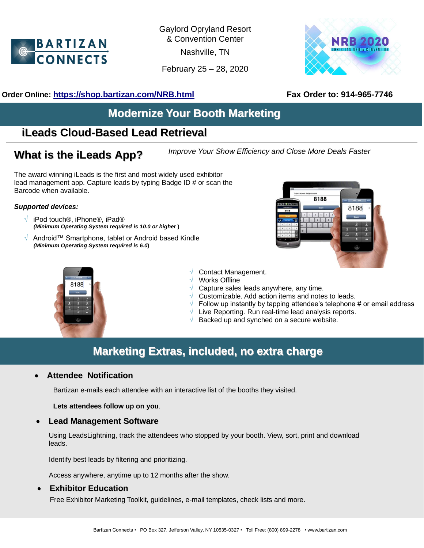

Gaylord Opryland Resort & Convention Center

Nashville, TN

February 25 – 28, 2020



## **Order Online: <https://shop.bartizan.com/NRB.html>Fax Order to: 914-965-7746**

# **Modernize Your Booth Marketing**

# **iLeads Cloud-Based Lead Retrieval**

*Improve Your Show Efficiency and Close More Deals Faster* **What is the iLeads App?**

The award winning iLeads is the first and most widely used exhibitor lead management app. Capture leads by typing Badge ID # or scan the Barcode when available.

#### *Supported devices:*

- **√** iPod touch®, iPhone®, iPad® *(Minimum Operating System required is 10.0 or higher* **)**
- **√** Android™ Smartphone, tablet or Android based Kindle *(Minimum Operating System required is 6.0***)**





- **√** Contact Management.
- **√** Works Offline
- **√** Capture sales leads anywhere, any time.
- **√** Customizable. Add action items and notes to leads.
- **√** Follow up instantly by tapping attendee's telephone # or email address
	- Live Reporting. Run real-time lead analysis reports.
	- Backed up and synched on a secure website.

# **Marketing Extras, included, no extra charge**

### • **Attendee Notification**

Bartizan e-mails each attendee with an interactive list of the booths they visited.

**Lets attendees follow up on you**.

• **Lead Management Software**

Using LeadsLightning, track the attendees who stopped by your booth. View, sort, print and download leads.

Identify best leads by filtering and prioritizing.

Access anywhere, anytime up to 12 months after the show.

### • **Exhibitor Education**

Free Exhibitor Marketing Toolkit, guidelines, e-mail templates, check lists and more.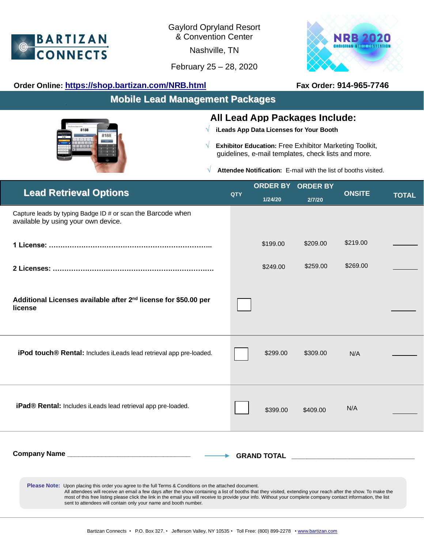

Gaylord Opryland Resort & Convention Center

 $\overline{a}$ Nashville, TN

February 25 – 28, 2020



## **Order Online: <https://shop.bartizan.com/NRB.html>Fax Order: 914-965-7746**

8188

**Mobile Lead Management Packages**

## **All Lead App Packages Include:**

- **√ iLeads App Data Licenses for Your Booth**
- **√ Exhibitor Education:** Free Exhibitor Marketing Toolkit, guidelines, e-mail templates, check lists and more.

**√ Attendee Notification:** E-mail with the list of booths visited.

| <b>Lead Retrieval Options</b>                                                                                                                                                                                                                                                                                                                                                                                                                                                                                         | QTY |          | <b>ORDER BY ORDER BY</b> | <b>ONSITE</b> |       |  |  |
|-----------------------------------------------------------------------------------------------------------------------------------------------------------------------------------------------------------------------------------------------------------------------------------------------------------------------------------------------------------------------------------------------------------------------------------------------------------------------------------------------------------------------|-----|----------|--------------------------|---------------|-------|--|--|
|                                                                                                                                                                                                                                                                                                                                                                                                                                                                                                                       |     | 1/24/20  | 2/7/20                   |               | TOTAL |  |  |
| Capture leads by typing Badge ID # or scan the Barcode when<br>available by using your own device.                                                                                                                                                                                                                                                                                                                                                                                                                    |     |          |                          |               |       |  |  |
|                                                                                                                                                                                                                                                                                                                                                                                                                                                                                                                       |     | \$199.00 | \$209.00                 | \$219.00      |       |  |  |
|                                                                                                                                                                                                                                                                                                                                                                                                                                                                                                                       |     | \$249.00 | \$259.00                 | \$269.00      |       |  |  |
| Additional Licenses available after 2 <sup>nd</sup> license for \$50.00 per<br>license                                                                                                                                                                                                                                                                                                                                                                                                                                |     |          |                          |               |       |  |  |
| iPod touch® Rental: Includes iLeads lead retrieval app pre-loaded.                                                                                                                                                                                                                                                                                                                                                                                                                                                    |     | \$299.00 | \$309.00                 | N/A           |       |  |  |
| iPad® Rental: Includes iLeads lead retrieval app pre-loaded.                                                                                                                                                                                                                                                                                                                                                                                                                                                          |     | \$399.00 | \$409.00                 | N/A           |       |  |  |
| <b>GRAND TOTAL EXECUTIVE STATES IN THE STATE OF STATES OF STATES IN THE STATE OF STATES IN THE STATE OF STATES OF STATES OF STATES IN THE STATES OF STATES OF STATES OF STATES OF STATES OF STATES OF STATES OF STATES OF STATES</b>                                                                                                                                                                                                                                                                                  |     |          |                          |               |       |  |  |
| <b>Please Note:</b> Upon placing this order you agree to the full Terms & Conditions on the attached document.<br>All attendees will receive an email a few days after the show containing a list of booths that they visited, extending your reach after the show. To make the<br>most of this free listing please click the link in the email you will receive to provide your info. Without your complete company contact information, the list<br>sent to attendees will contain only your name and booth number. |     |          |                          |               |       |  |  |
|                                                                                                                                                                                                                                                                                                                                                                                                                                                                                                                       |     |          |                          |               |       |  |  |